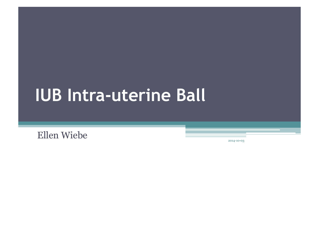# **IUB Intra-uterine Ball**

Ellen Wiebe

2014-10-03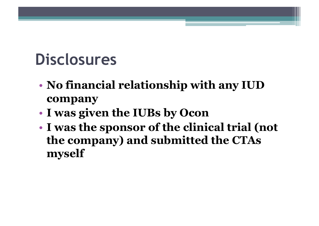### **Disclosures**

- **No financial relationship with any IUD company**
- **I was given the IUBs by Ocon**
- **I was the sponsor of the clinical trial (not the company) and submitted the CTAs myself**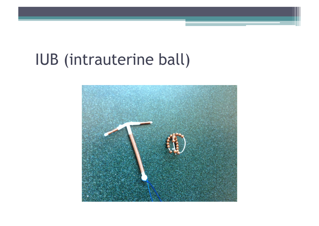#### IUB (intrauterine ball)

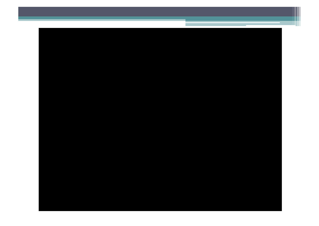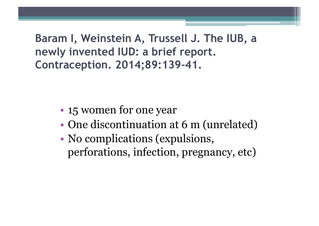**Baram I, Weinstein A, Trussell J. The IUB, a newly invented IUD: a brief report. Contraception. 2014;89:139–41.** 

- 15 women for one year
- One discontinuation at 6 m (unrelated)
- No complications (expulsions, perforations, infection, pregnancy, etc)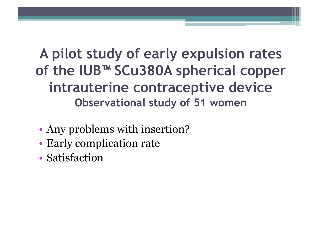**A pilot study of early expulsion rates of the IUB™ SCu380A spherical copper intrauterine contraceptive device Observational study of 51 women**

- Any problems with insertion?
- Early complication rate
- Satisfaction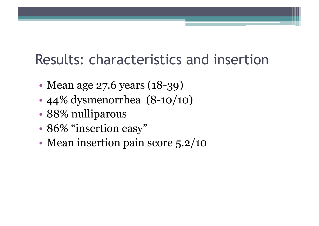#### Results: characteristics and insertion

- Mean age 27.6 years (18-39)
- 44% dysmenorrhea (8-10/10)
- 88% nulliparous
- 86% "insertion easy"
- Mean insertion pain score 5.2/10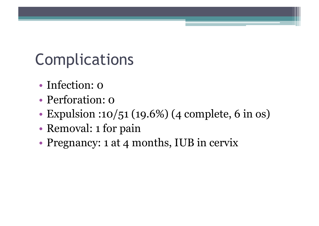# **Complications**

- Infection: 0
- Perforation: 0
- Expulsion :10/51 (19.6%) (4 complete, 6 in os)
- Removal: 1 for pain
- Pregnancy: 1 at 4 months, IUB in cervix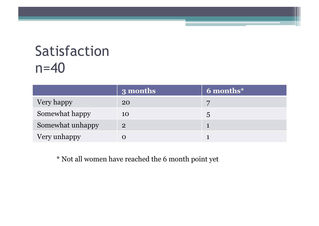#### Satisfaction n=40

|                  | 3 months       | 6 months* |
|------------------|----------------|-----------|
| Very happy       | 20             |           |
| Somewhat happy   | 10             | b         |
| Somewhat unhappy | $\overline{2}$ |           |
| Very unhappy     |                |           |

\* Not all women have reached the 6 month point yet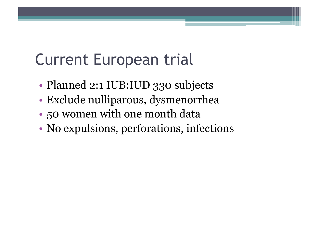# Current European trial

- Planned 2:1 IUB:IUD 330 subjects
- Exclude nulliparous, dysmenorrhea
- 50 women with one month data
- No expulsions, perforations, infections